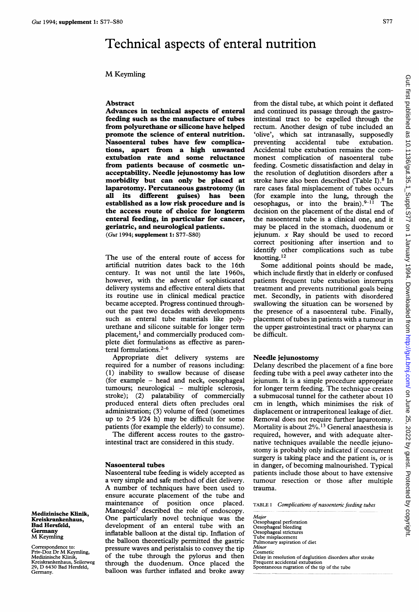# Technical aspects of enteral nutrition

# M Keymling

#### Abstract

Advances in technical aspects of enteral feeding such as the manufacture of tubes from polyurethane or silicone have helped promote the science of enteral nutrition. Nasoenteral tubes have few complications, apart from a high unwanted extubation rate and some reluctance from patients because of cosmetic unacceptability. Needle jejunostomy has low morbidity but can only be placed at laparotomy. Percutaneous gastrotomy (in all its different guises) has been established as a low risk procedure and is the access route of choice for longterm enteral feeding, in particular for cancer, geriatric, and neurological patients. (Gut 1994; supplement 1: S77-S80)

The use of the enteral route of access for artificial nutrition dates back to the 16th century. It was not until the late 1960s, however, with the advent of sophisticated delivery systems and effective enteral diets that its routine use in clinical medical practice became accepted. Progress continued throughout the past two decades with developments such as enteral tube materials like polyurethane and silicone suitable for longer term placement,<sup>1</sup> and commercially produced complete diet formulations as effective as parenteral formulations. $2-6$ 

Appropriate diet delivery systems are required for a number of reasons including: (1) inability to swallow because of disease (for example - head and neck, oesophageal tumours; neurological - multiple sclerosis, stroke); (2) palatability of commercially produced enteral diets often precludes oral administration; (3) volume of feed (sometimes up to  $2.5$   $1/24$  h) may be difficult for some patients (for example the elderly) to consume).

The different access routes to the gastrointestinal tract are considered in this study.

### Nasoenteral tubes

Nasoenteral tube feeding is widely accepted as a very simple and safe method of diet delivery. A number of techniques have been used to ensure accurate placement of the tube and maintenance of position once placed. Manegold<sup>7</sup> described the role of endoscopy. One particularly novel technique was the development of an enteral tube with an inflatable balloon at the distal tip. Inflation of the balloon theoretically permitted the gastric pressure waves and peristalsis to convey the tip of the tube through the pylorus and then through the duodenum. Once placed the balloon was further inflated and broke away

from the distal tube, at which point it deflated and continued its passage through the gastrointestinal tract to be expelled through the rectum. Another design of tube included an 'olive', which sat intranasally, supposedly preventing accidental tube extubation. Accidental tube extubation remains the commonest complication of nasoenteral tube feeding. Cosmetic dissatisfaction and delay in the resolution of deglutition disorders after a stroke have also been described (Table I).8 In rare cases fatal misplacement of tubes occurs (for example into the lung, through the oesophagus, or into the brain). $9-11$  The decision on the placement of the distal end of the nasoenteral tube is a clinical one, and it may be placed in the stomach, duodenum or jejunum. x Ray should be used to record correct positioning after insertion and to identify other complications such as tube knotting. 12

Some additional points should be made, which include firstly that in elderly or confused patients frequent tube extubation interrupts treatment and prevents nutritional goals being met. Secondly, in patients with disordered swallowing the situation can be worsened by the presence of a nasoenteral tube. Finally, placement of tubes in patients with a tumour in the upper gastrointestinal tract or pharynx can be difficult.

#### Needle jejunostomy

Delany described the placement of a fine bore feeding tube with <sup>a</sup> peel away catheter into the jejunum. It is a simple procedure appropriate for longer term feeding. The technique creates a submucosal tunnel for the catheter about 10 cm in length, which minimises the risk of displacement or intraperitoneal leakage of diet. Removal does not require further laparotomy. Mortality is about 2%.13 General anaesthesia is required, however, and with adequate alternative techniques available the needle jejunostomy is probably only indicated if concurrent surgery is taking place and the patient is, or is in danger, of becoming malnourished. Typical patients include those about to have extensive tumour resection or those after multiple trauma.

TABLE <sup>I</sup> Complications of nasoenteric feeding tubes

Major Oesophageal perforation Oesophageal bleeding Oesophageal strictures Tube misplacement Pulmonary aspiration of diet Minor Cosmetic Delay in resolution of deglutition disorders after stroke Frequent accidental extubation Spontaneous rugration of the tip of the tube

Medizinische Klinik, Kreiskrankenhaus, Bad Hersfeld, Germany M Keymling

Correspondence to: Priv-Doz Dr M Keymling, Medizinische Klinik, Kreiskrankenhaus, Seilerweg 29, D <sup>6430</sup> Bad Hersfeld, Germany.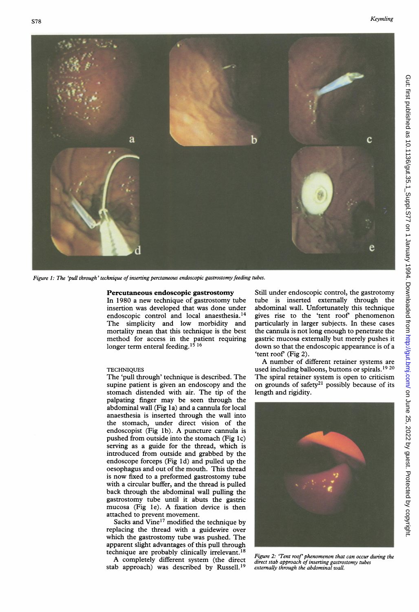

Figure 1: The 'pull through' technique of inserting perctaneous endoscopic gastrostomy feeding tubes.

### Percutaneous endoscopic gastrostomy

In 1980 a new technique of gastrostomy tube insertion was developed that was done under endoscopic control and local anaesthesia.<sup>14</sup> The simplicity and low morbidity and mortality mean that this technique is the best method for access in the patient requiring longer term enteral feeding.<sup>15 16</sup>

#### **TECHNIQUES**

The 'pull through' technique is described. The supine patient is given an endoscopy and the stomach distended with air. The tip of the palpating finger may be seen through the abdominal wall (Fig 1a) and a cannula for local anaesthesia is inserted through the wall into the stomach, under direct vision of the endoscopist (Fig lb). A puncture cannula is pushed from outside into the stomach (Fig 1c) serving as a guide for the thread, which is introduced from outside and grabbed by the endoscope forceps (Fig ld) and pulled up the oesophagus and out of the mouth. This thread is now fixed to a preformed gastrostomy tube with a circular buffer, and the thread is pulled back through the abdominal wall pulling the gastrostomy tube until it abuts the gastric mucosa (Fig 1e). A fixation device is then attached to prevent movement.

Sacks and Vine<sup>17</sup> modified the technique by replacing the thread with a guidewire over which the gastrostomy tube was pushed. The apparent slight advantages of this pull through technique are probably clinically irrelevant.<sup>18</sup>

A completely different system (the direct stab approach) was described by Russell.'9

Still under endoscopic control, the gastrotomy tube is inserted externally through the abdominal wall. Unfortunately this technique gives rise to the 'tent roof phenomenon particularly in larger subjects. In these cases the cannula is not long enough to penetrate the gastric mucosa externally but merely pushes it down so that the endoscopic appearance is of <sup>a</sup> 'tent roof' (Fig 2).

A number of different retainer systems are used including balloons, buttons or spirals.'9 <sup>20</sup> The spiral retainer system is open to criticism on grounds of safety<sup>21</sup> possibly because of its length and rigidity.



Figure 2: 'Tent roof' phenomenon that can occur during the direct stab approach of inserting gastrostomy tubes externally through the abdominal wall.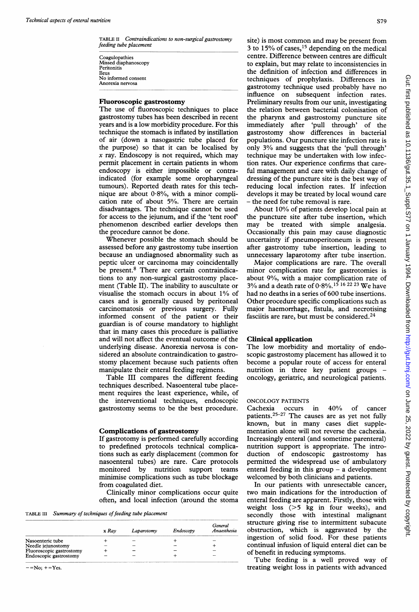TABLE II Contraindications to non-surgical gastrostomy feeding tube placement

Coagulopathies Missed diaphanoscopy Peritonitis Ileus No informed consent Anorexia nervosa

#### Fluoroscopic gastrostomy

The use of fluoroscopic techniques to place gastrostomy tubes has been described in recent years and is a low morbidity procedure. For this technique the stomach is inflated by instillation of air (down a nasogastric tube placed for the purpose) so that it can be localised by  $x$  ray. Endoscopy is not required, which may permit placement in certain patients in whom endoscopy is either impossible or contraindicated (for example some oropharyngeal tumours). Reported death rates for this technique are about  $0.8\%$ , with a minor complication rate of about 5%. There are certain disadvantages. The technique cannot be used for access to the jejunum, and if the 'tent roof' phenomenon described earlier develops then the procedure cannot be done.

Whenever possible the stomach should be assessed before any gastrostomy tube insertion because an undiagnosed abnormality such as peptic ulcer or carcinoma may coincidentally be present.<sup>8</sup> There are certain contraindications to any non-surgical gastrostomy placement (Table II). The inability to auscultate or visualise the stomach occurs in about 1% of cases and is generally caused by peritoneal carcinomatosis or previous surgery. Fully informed consent of the patient or their guardian is of course mandatory to highlight that in many cases this procedure is palliative and will not affect the eventual outcome of the underlying disease. Anorexia nervosa is considered an absolute contraindication to gastrostomy placement because such patients often manipulate their enteral feeding regimens.

Table III compares the different feeding techniques described. Nasoenteral tube placement requires the least experience, while, of the interventional techniques, endoscopic gastrostomy seems to be the best procedure.

If gastrotomy is performed carefully according to predefined protocols technical complications such as early displacement (common for monitored by nutrition support teams ninimise complications such as tube blockage welcomed by both clinicians and patients.

Clinically minor complications occur quite often, and local infection (around the stoma

TABLE III Summary of techniques of feeding tube placement

|                          | x Rav | Laparotomy | Endoscopy | General<br>Anaesthesia |
|--------------------------|-------|------------|-----------|------------------------|
| Nasoenteric tube         |       |            |           |                        |
| Needle jejunostomy       |       |            |           |                        |
| Fluoroscopic gastrostomy |       |            |           |                        |
| Endoscopic gastrostomy   |       | -          |           |                        |
|                          |       |            |           |                        |

 $-$ =No;  $+$ =Yes.

S79

site) is most common and may be present from 3 to 15% of cases,  $15$  depending on the medical centre. Difference between centres are difficult to explain, but may relate to inconsistencies in the definition of infection and differences in techniques of prophylaxis. Differences in gastrotomy technique used probably have no influence on subsequent infection rates. Preliminary results from our unit, investigating the relation between bacterial colonisation of the pharynx and gastrostomy puncture site immediately after 'pull through' of the gastrostomy show differences in bacterial populations. Our puncture site infection rate is only 3% and suggests that the 'pull through' technique may be undertaken with low infection rates. Our experience confirms that careful management and care with daily change of dressing of the puncture site is the best way of reducing local infection rates. If infection develops it may be treated by local wound care - the need for tube removal is rare.

About 10% of patients develop local pain at the puncture site after tube insertion, which may be treated with simple analgesia. Occasionally this pain may cause diagnostic uncertainty if pneumoperitoneum is present after gastrotomy tube insertion, leading to unnecessary laparotomy after tube insertion.

Major complications are rare. The overall minor complication rate for gastrotomies is about 9%, with a major complication rate of 3% and a death rate of  $0.8\%$ .<sup>15</sup> 16 <sup>22</sup> 23 We have had no deaths in a series of 600 tube insertions. Other procedure specific complications such as major haemorrhage, fistula, and necrotising fasciitis are rare, but must be considered.24

## Clinical application

The low morbidity and mortality of endoscopic gastrostomy placement has allowed it to become a popular route of access for enteral nutrition in three key patient groups oncology, geriatric, and neurological patients.

# ONCOLOGY PATIENTS

nasoenteral tubes) are rare. Care protocols permitted the widespread use of ambulatory Cachexia occurs in 40% of cancer patients.25-27 The causes are as yet not fully known, but in many cases diet supple- **Complications of gastrostomy** mentation alone will not reverse the cachexia. Increasingly enteral (and sometime parenteral) nutrition support is appropriate. The introduction of endoscopic gastrostomy has enteral feeding in this group  $-$  a development

from coagulated diet.<br>
Clinically minor complications occur quite two main indications for the introduction of enteral feeding are apparent. Firstly, those with weight loss (>5 kg in four weeks), and secondly those with intestinal malignant structure giving rise to intermittent subacute obstruction, which is aggravated by the ingestion of solid food. For these patients continual infusion of liquid enteral diet can be of benefit in reducing symptoms.

Tube feeding is <sup>a</sup> well proved way of treating weight loss in patients with advanced